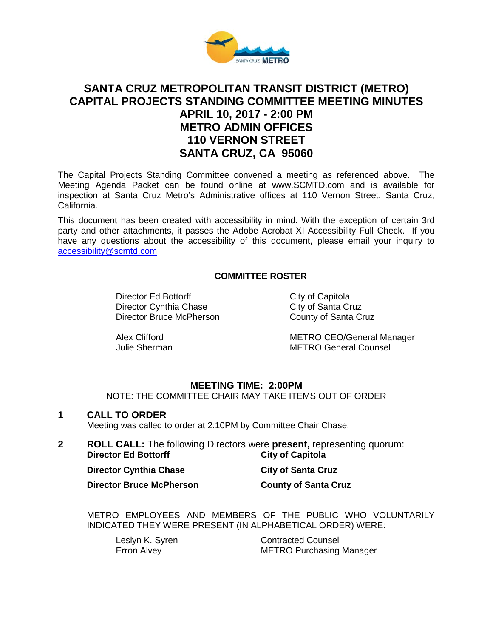

# **SANTA CRUZ METROPOLITAN TRANSIT DISTRICT (METRO) CAPITAL PROJECTS STANDING COMMITTEE MEETING MINUTES APRIL 10, 2017 - 2:00 PM METRO ADMIN OFFICES 110 VERNON STREET SANTA CRUZ, CA 95060**

The Capital Projects Standing Committee convened a meeting as referenced above. The Meeting Agenda Packet can be found online at www.SCMTD.com and is available for inspection at Santa Cruz Metro's Administrative offices at 110 Vernon Street, Santa Cruz, California.

This document has been created with accessibility in mind. With the exception of certain 3rd party and other attachments, it passes the Adobe Acrobat XI Accessibility Full Check. If you have any questions about the accessibility of this document, please email your inquiry to [accessibility@scmtd.com](mailto:accessibility@scmtd.com)

### **COMMITTEE ROSTER**

Director Ed Bottorff City of Capitola Director Cynthia Chase City of Santa Cruz Director Bruce McPherson County of Santa Cruz

Alex Clifford METRO CEO/General Manager Julie Sherman METRO General Counsel

### **MEETING TIME: 2:00PM**

NOTE: THE COMMITTEE CHAIR MAY TAKE ITEMS OUT OF ORDER

### **1 CALL TO ORDER**

Meeting was called to order at 2:10PM by Committee Chair Chase.

### **2 ROLL CALL:** The following Directors were **present,** representing quorum: **Director Ed Bottorff**

| <b>Director Cynthia Chase</b>   | <b>City of Santa Cruz</b>   |
|---------------------------------|-----------------------------|
| <b>Director Bruce McPherson</b> | <b>County of Santa Cruz</b> |

METRO EMPLOYEES AND MEMBERS OF THE PUBLIC WHO VOLUNTARILY INDICATED THEY WERE PRESENT (IN ALPHABETICAL ORDER) WERE:

Leslyn K. Syren Contracted Counsel<br>
Erron Alvey Contracted Counsel<br>
METRO Purchasing **METRO Purchasing Manager**